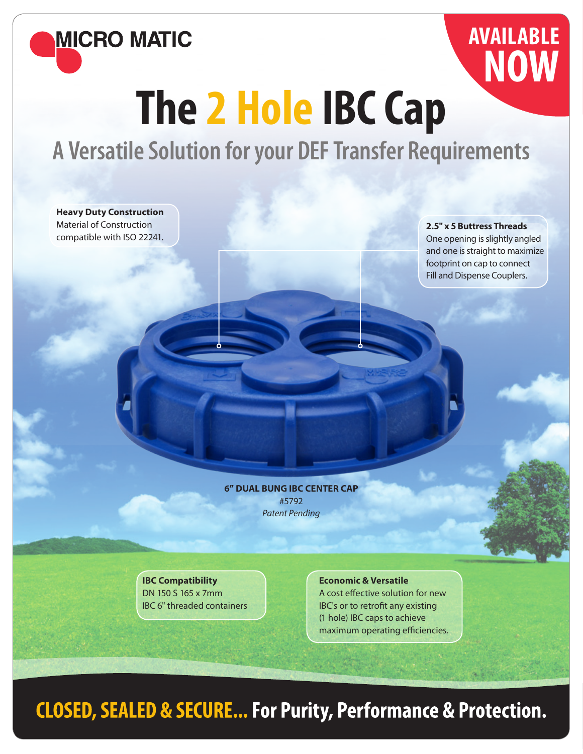

## **AVAILABLE NOW**

## **The 2 Hole IBC Cap**

**A Versatile Solution for your DEF Transfer Requirements**

**Heavy Duty Construction** Material of Construction compatible with ISO 22241.

**2.5" x 5 Buttress Threads** 

One opening is slightly angled and one is straight to maximize footprint on cap to connect Fill and Dispense Couplers.

**6" DUAL BUNG IBC CENTER CAP** #5792 Patent Pending

**IBC Compatibility** DN 150 S 165 x 7mm IBC 6" threaded containers

**Economic & Versatile** A cost effective solution for new IBC's or to retrofit any existing (1 hole) IBC caps to achieve maximum operating efficiencies.

## **CLOSED, SEALED & SECURE... For Purity, Performance & Protection.**